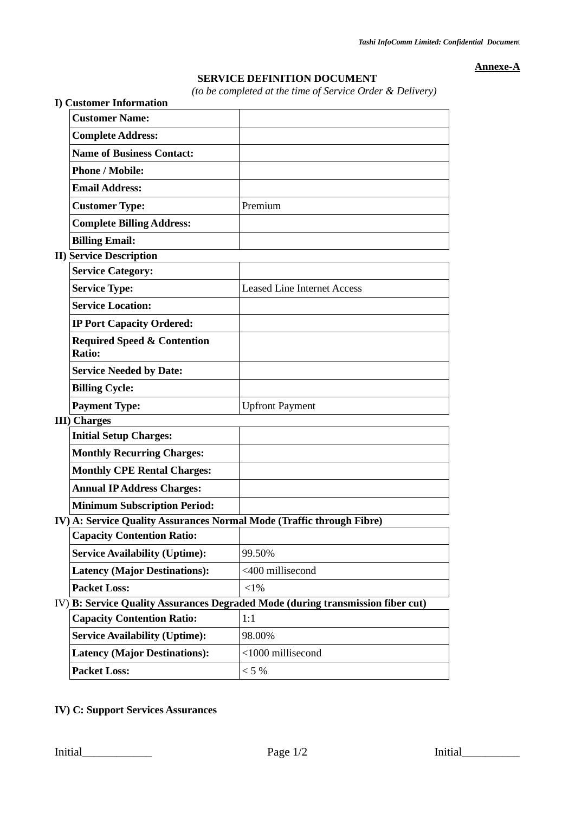**Annexe-A**

## **SERVICE DEFINITION DOCUMENT**

*(to be completed at the time of Service Order & Delivery)*

| <b>I) Customer Information</b>                                        | (to be completed at the time of service Order & Detivery)                       |
|-----------------------------------------------------------------------|---------------------------------------------------------------------------------|
| <b>Customer Name:</b>                                                 |                                                                                 |
| <b>Complete Address:</b>                                              |                                                                                 |
| <b>Name of Business Contact:</b>                                      |                                                                                 |
| <b>Phone / Mobile:</b>                                                |                                                                                 |
| <b>Email Address:</b>                                                 |                                                                                 |
| <b>Customer Type:</b>                                                 | Premium                                                                         |
| <b>Complete Billing Address:</b>                                      |                                                                                 |
| <b>Billing Email:</b>                                                 |                                                                                 |
| <b>II) Service Description</b>                                        |                                                                                 |
| <b>Service Category:</b>                                              |                                                                                 |
| <b>Service Type:</b>                                                  | <b>Leased Line Internet Access</b>                                              |
| <b>Service Location:</b>                                              |                                                                                 |
| <b>IP Port Capacity Ordered:</b>                                      |                                                                                 |
| <b>Required Speed &amp; Contention</b><br>Ratio:                      |                                                                                 |
| <b>Service Needed by Date:</b>                                        |                                                                                 |
| <b>Billing Cycle:</b>                                                 |                                                                                 |
| <b>Payment Type:</b>                                                  | <b>Upfront Payment</b>                                                          |
| <b>III</b> ) Charges                                                  |                                                                                 |
| <b>Initial Setup Charges:</b>                                         |                                                                                 |
| <b>Monthly Recurring Charges:</b>                                     |                                                                                 |
| <b>Monthly CPE Rental Charges:</b>                                    |                                                                                 |
| <b>Annual IP Address Charges:</b>                                     |                                                                                 |
| <b>Minimum Subscription Period:</b>                                   |                                                                                 |
| IV) A: Service Quality Assurances Normal Mode (Traffic through Fibre) |                                                                                 |
| <b>Capacity Contention Ratio:</b>                                     |                                                                                 |
| <b>Service Availability (Uptime):</b>                                 | 99.50%                                                                          |
| <b>Latency (Major Destinations):</b>                                  | <400 millisecond                                                                |
| <b>Packet Loss:</b>                                                   | $<$ 1%                                                                          |
|                                                                       | IV) B: Service Quality Assurances Degraded Mode (during transmission fiber cut) |
| <b>Capacity Contention Ratio:</b>                                     | 1:1                                                                             |
| <b>Service Availability (Uptime):</b>                                 | 98.00%                                                                          |
| <b>Latency (Major Destinations):</b>                                  | <1000 millisecond                                                               |
| <b>Packet Loss:</b>                                                   | $< 5\%$                                                                         |

**IV) C: Support Services Assurances**